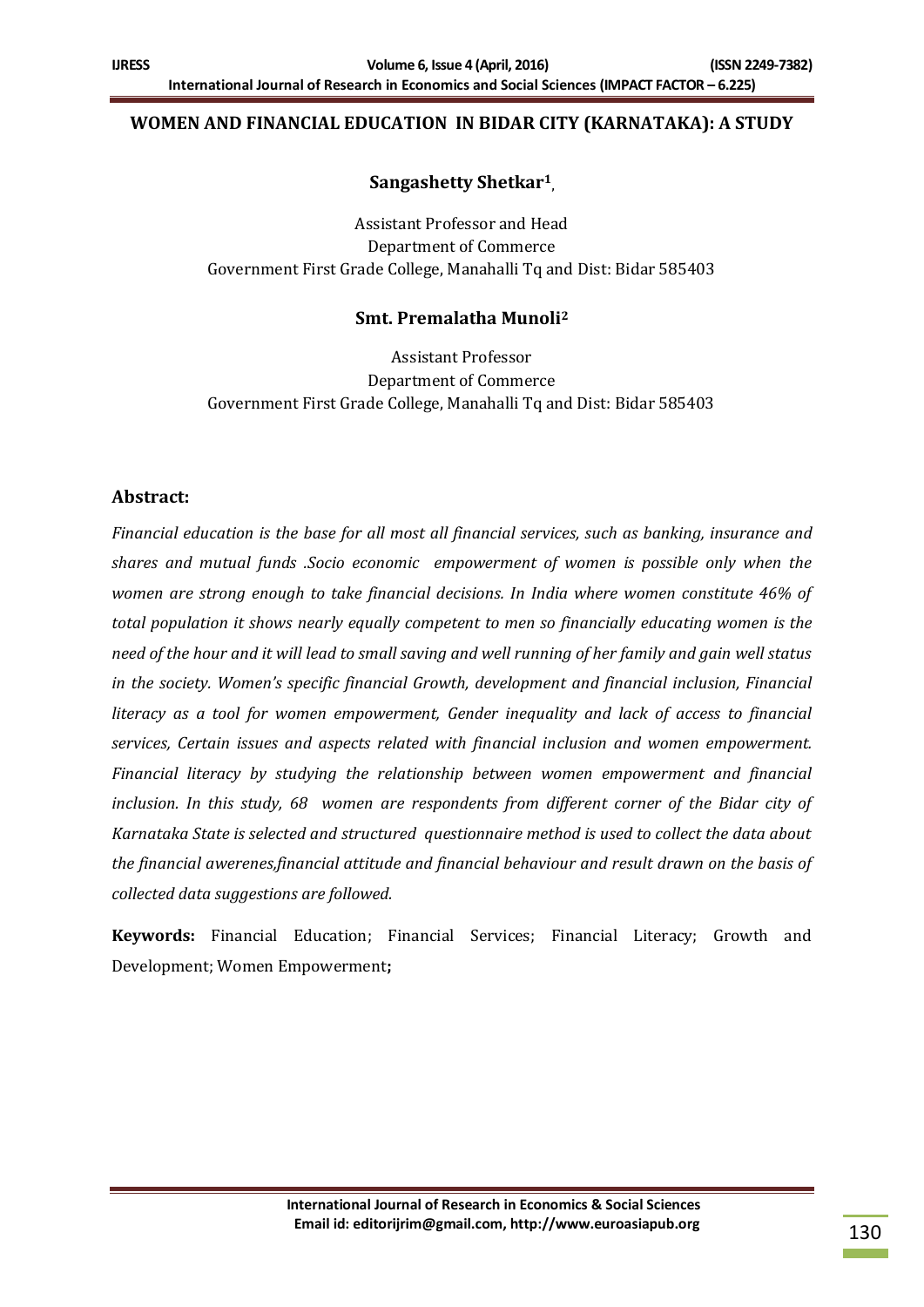## **WOMEN AND FINANCIAL EDUCATION IN BIDAR CITY (KARNATAKA): A STUDY**

## **Sangashetty Shetkar<sup>1</sup> ,**

Assistant Professor and Head Department of Commerce Government First Grade College, Manahalli Tq and Dist: Bidar 585403

## **Smt. Premalatha Munoli<sup>2</sup>**

Assistant Professor Department of Commerce Government First Grade College, Manahalli Tq and Dist: Bidar 585403

## **Abstract:**

*Financial education is the base for all most all financial services, such as banking, insurance and shares and mutual funds .Socio economic empowerment of women is possible only when the women are strong enough to take financial decisions. In India where women constitute 46% of total population it shows nearly equally competent to men so financially educating women is the need of the hour and it will lead to small saving and well running of her family and gain well status in the society. Women's specific financial Growth, development and financial inclusion, Financial literacy as a tool for women empowerment, Gender inequality and lack of access to financial services, Certain issues and aspects related with financial inclusion and women empowerment. Financial literacy by studying the relationship between women empowerment and financial inclusion. In this study, 68 women are respondents from different corner of the Bidar city of Karnataka State is selected and structured questionnaire method is used to collect the data about the financial awerenes,financial attitude and financial behaviour and result drawn on the basis of collected data suggestions are followed.*

**Keywords:** Financial Education; Financial Services; Financial Literacy; Growth and Development; Women Empowerment**;**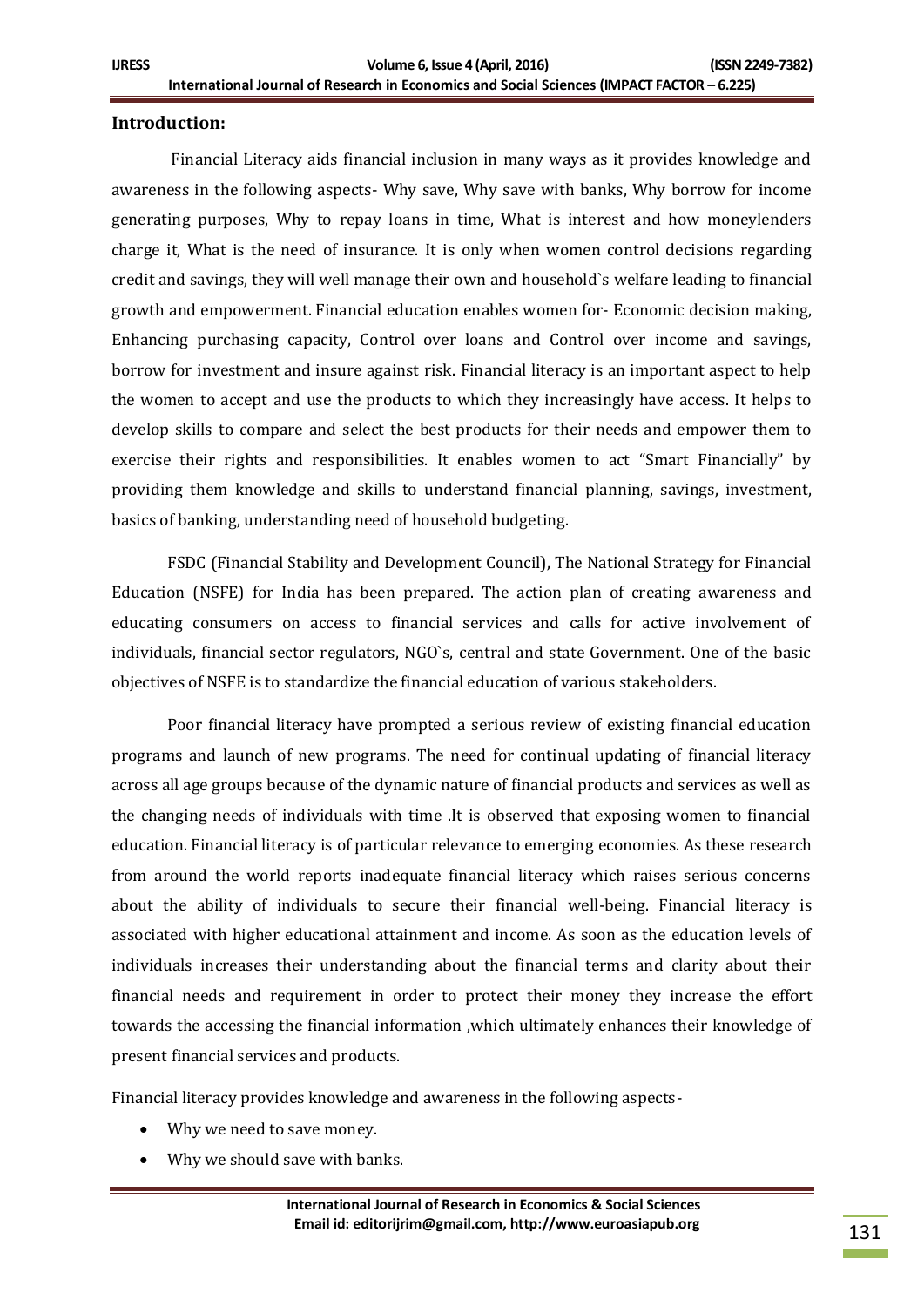#### **Introduction:**

Financial Literacy aids financial inclusion in many ways as it provides knowledge and awareness in the following aspects- Why save, Why save with banks, Why borrow for income generating purposes, Why to repay loans in time, What is interest and how moneylenders charge it, What is the need of insurance. It is only when women control decisions regarding credit and savings, they will well manage their own and household`s welfare leading to financial growth and empowerment. Financial education enables women for- Economic decision making, Enhancing purchasing capacity, Control over loans and Control over income and savings, borrow for investment and insure against risk. Financial literacy is an important aspect to help the women to accept and use the products to which they increasingly have access. It helps to develop skills to compare and select the best products for their needs and empower them to exercise their rights and responsibilities. It enables women to act "Smart Financially" by providing them knowledge and skills to understand financial planning, savings, investment, basics of banking, understanding need of household budgeting.

FSDC (Financial Stability and Development Council), The National Strategy for Financial Education (NSFE) for India has been prepared. The action plan of creating awareness and educating consumers on access to financial services and calls for active involvement of individuals, financial sector regulators, NGO`s, central and state Government. One of the basic objectives of NSFE is to standardize the financial education of various stakeholders.

Poor financial literacy have prompted a serious review of existing financial education programs and launch of new programs. The need for continual updating of financial literacy across all age groups because of the dynamic nature of financial products and services as well as the changing needs of individuals with time .It is observed that exposing women to financial education. Financial literacy is of particular relevance to emerging economies. As these research from around the world reports inadequate financial literacy which raises serious concerns about the ability of individuals to secure their financial well-being. Financial literacy is associated with higher educational attainment and income. As soon as the education levels of individuals increases their understanding about the financial terms and clarity about their financial needs and requirement in order to protect their money they increase the effort towards the accessing the financial information ,which ultimately enhances their knowledge of present financial services and products.

Financial literacy provides knowledge and awareness in the following aspects-

- Why we need to save money.
- Why we should save with banks.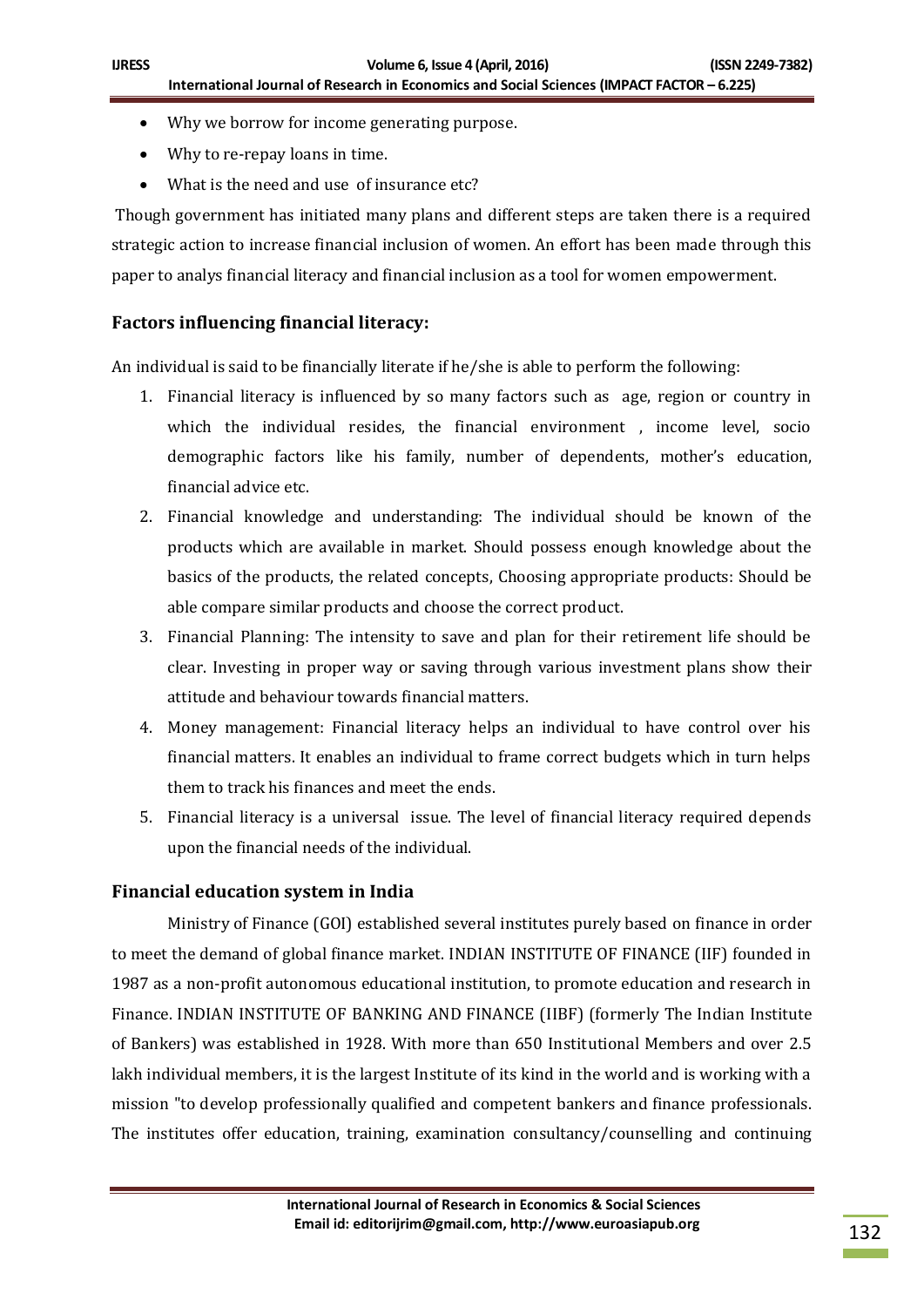- Why we borrow for income generating purpose.
- Why to re-repay loans in time.
- What is the need and use of insurance etc?

Though government has initiated many plans and different steps are taken there is a required strategic action to increase financial inclusion of women. An effort has been made through this paper to analys financial literacy and financial inclusion as a tool for women empowerment.

## **Factors influencing financial literacy:**

An individual is said to be financially literate if he/she is able to perform the following:

- 1. Financial literacy is influenced by so many factors such as age, region or country in which the individual resides, the financial environment , income level, socio demographic factors like his family, number of dependents, mother's education, financial advice etc.
- 2. Financial knowledge and understanding: The individual should be known of the products which are available in market. Should possess enough knowledge about the basics of the products, the related concepts, Choosing appropriate products: Should be able compare similar products and choose the correct product.
- 3. Financial Planning: The intensity to save and plan for their retirement life should be clear. Investing in proper way or saving through various investment plans show their attitude and behaviour towards financial matters.
- 4. Money management: Financial literacy helps an individual to have control over his financial matters. It enables an individual to frame correct budgets which in turn helps them to track his finances and meet the ends.
- 5. Financial literacy is a universal issue. The level of financial literacy required depends upon the financial needs of the individual.

#### **Financial education system in India**

Ministry of Finance (GOI) established several institutes purely based on finance in order to meet the demand of global finance market. INDIAN INSTITUTE OF FINANCE (IIF) founded in 1987 as a non-profit autonomous educational institution, to promote education and research in Finance. INDIAN INSTITUTE OF BANKING AND FINANCE (IIBF) (formerly The Indian Institute of Bankers) was established in 1928. With more than 650 Institutional Members and over 2.5 lakh individual members, it is the largest Institute of its kind in the world and is working with a mission "to develop professionally qualified and competent bankers and finance professionals. The institutes offer education, training, examination consultancy/counselling and continuing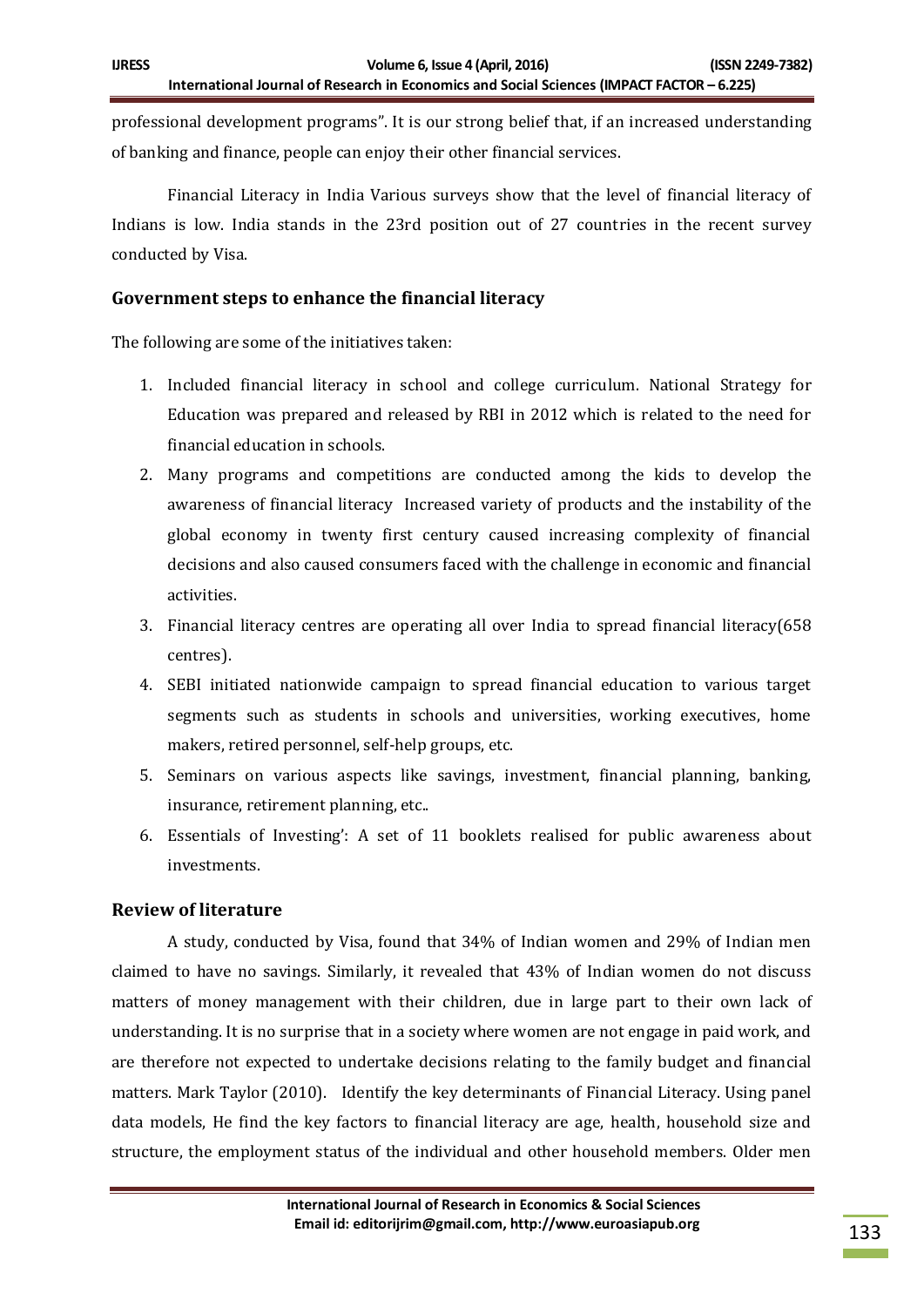professional development programs". It is our strong belief that, if an increased understanding of banking and finance, people can enjoy their other financial services.

Financial Literacy in India Various surveys show that the level of financial literacy of Indians is low. India stands in the 23rd position out of 27 countries in the recent survey conducted by Visa.

## **Government steps to enhance the financial literacy**

The following are some of the initiatives taken:

- 1. Included financial literacy in school and college curriculum. National Strategy for Education was prepared and released by RBI in 2012 which is related to the need for financial education in schools.
- 2. Many programs and competitions are conducted among the kids to develop the awareness of financial literacy Increased variety of products and the instability of the global economy in twenty first century caused increasing complexity of financial decisions and also caused consumers faced with the challenge in economic and financial activities.
- 3. Financial literacy centres are operating all over India to spread financial literacy(658 centres).
- 4. SEBI initiated nationwide campaign to spread financial education to various target segments such as students in schools and universities, working executives, home makers, retired personnel, self-help groups, etc.
- 5. Seminars on various aspects like savings, investment, financial planning, banking, insurance, retirement planning, etc..
- 6. Essentials of Investing': A set of 11 booklets realised for public awareness about investments.

## **Review of literature**

A study, conducted by Visa, found that 34% of Indian women and 29% of Indian men claimed to have no savings. Similarly, it revealed that 43% of Indian women do not discuss matters of money management with their children, due in large part to their own lack of understanding. It is no surprise that in a society where women are not engage in paid work, and are therefore not expected to undertake decisions relating to the family budget and financial matters. Mark Taylor (2010). Identify the key determinants of Financial Literacy. Using panel data models, He find the key factors to financial literacy are age, health, household size and structure, the employment status of the individual and other household members. Older men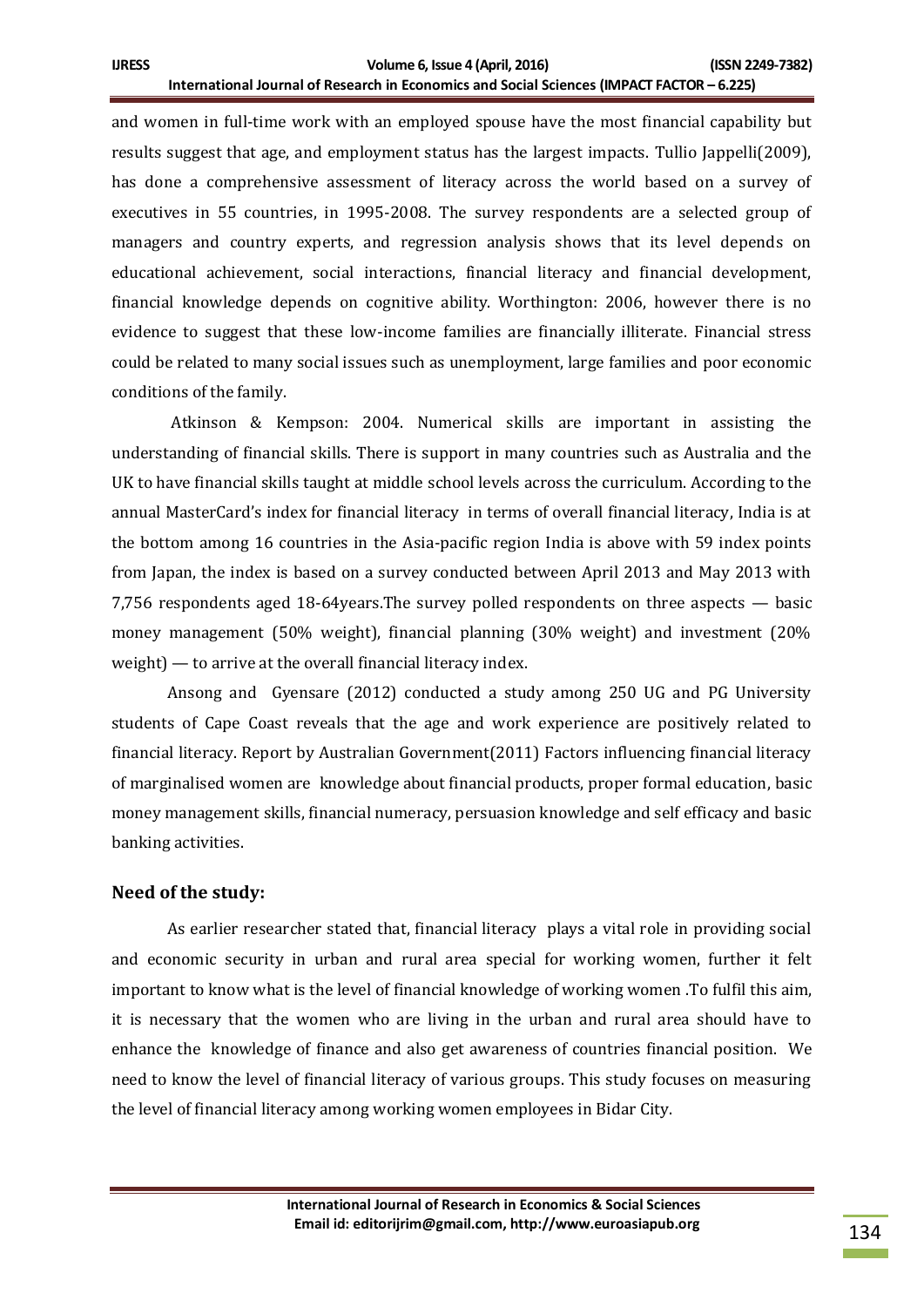and women in full-time work with an employed spouse have the most financial capability but results suggest that age, and employment status has the largest impacts. Tullio Jappelli(2009), has done a comprehensive assessment of literacy across the world based on a survey of executives in 55 countries, in 1995-2008. The survey respondents are a selected group of managers and country experts, and regression analysis shows that its level depends on educational achievement, social interactions, financial literacy and financial development, financial knowledge depends on cognitive ability. Worthington: 2006, however there is no evidence to suggest that these low-income families are financially illiterate. Financial stress could be related to many social issues such as unemployment, large families and poor economic conditions of the family.

Atkinson & Kempson: 2004. Numerical skills are important in assisting the understanding of financial skills. There is support in many countries such as Australia and the UK to have financial skills taught at middle school levels across the curriculum. According to the annual MasterCard's index for financial literacy in terms of overall financial literacy, India is at the bottom among 16 countries in the Asia-pacific region India is above with 59 index points from Japan, the index is based on a survey conducted between April 2013 and May 2013 with 7,756 respondents aged 18-64years.The survey polled respondents on three aspects — basic money management (50% weight), financial planning (30% weight) and investment (20% weight) — to arrive at the overall financial literacy index.

Ansong and Gyensare (2012) conducted a study among 250 UG and PG University students of Cape Coast reveals that the age and work experience are positively related to financial literacy. Report by Australian Government(2011) Factors influencing financial literacy of marginalised women are knowledge about financial products, proper formal education, basic money management skills, financial numeracy, persuasion knowledge and self efficacy and basic banking activities.

#### **Need of the study:**

As earlier researcher stated that, financial literacy plays a vital role in providing social and economic security in urban and rural area special for working women, further it felt important to know what is the level of financial knowledge of working women .To fulfil this aim, it is necessary that the women who are living in the urban and rural area should have to enhance the knowledge of finance and also get awareness of countries financial position. We need to know the level of financial literacy of various groups. This study focuses on measuring the level of financial literacy among working women employees in Bidar City.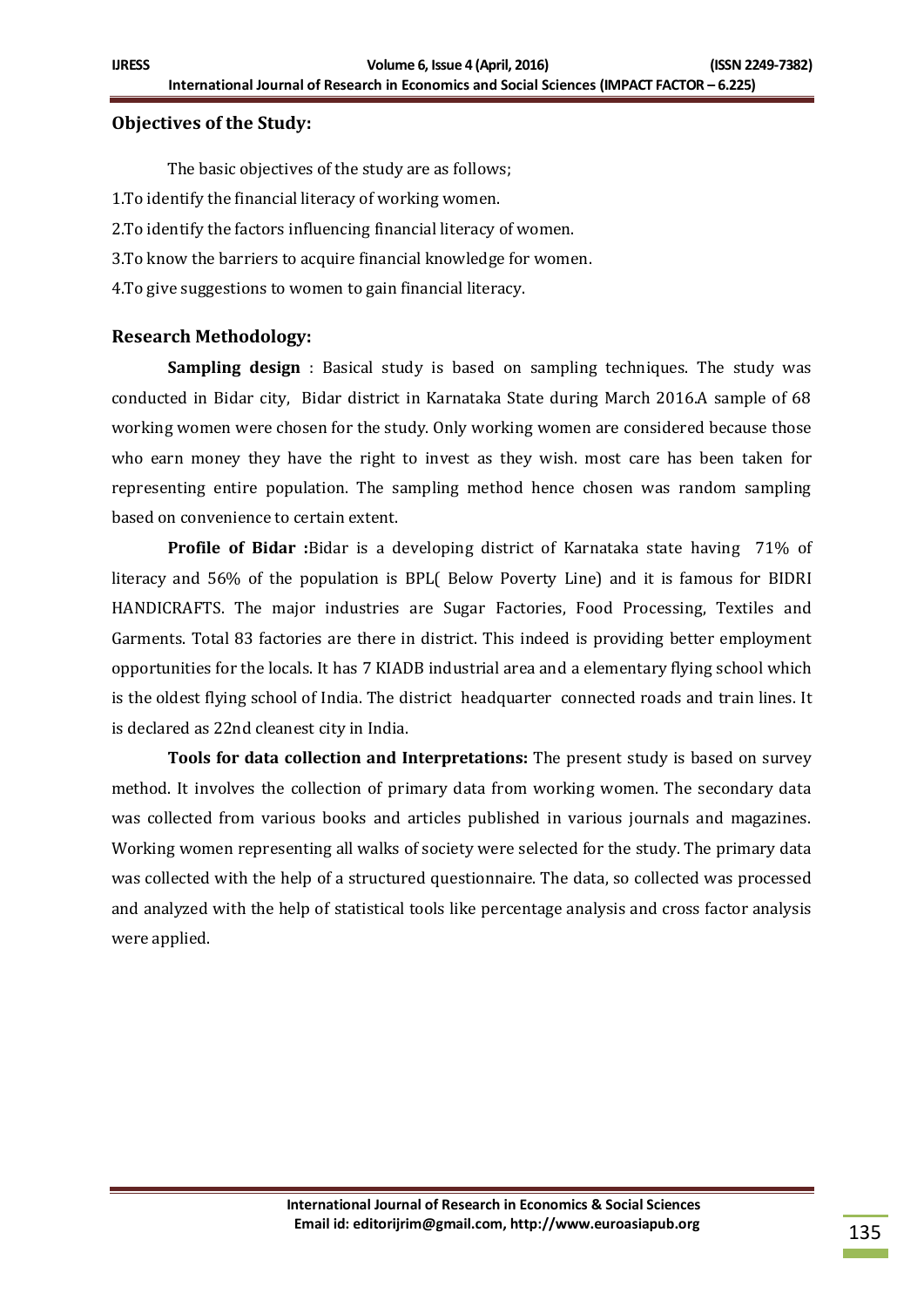#### **Objectives of the Study:**

The basic objectives of the study are as follows; 1.To identify the financial literacy of working women. 2.To identify the factors influencing financial literacy of women. 3.To know the barriers to acquire financial knowledge for women. 4.To give suggestions to women to gain financial literacy.

#### **Research Methodology:**

**Sampling design** : Basical study is based on sampling techniques. The study was conducted in Bidar city, Bidar district in Karnataka State during March 2016.A sample of 68 working women were chosen for the study. Only working women are considered because those who earn money they have the right to invest as they wish. most care has been taken for representing entire population. The sampling method hence chosen was random sampling based on convenience to certain extent.

**Profile of Bidar :**Bidar is a developing district of Karnataka state having 71% of literacy and 56% of the population is BPL( Below Poverty Line) and it is famous for BIDRI HANDICRAFTS. The major industries are Sugar Factories, Food Processing, Textiles and Garments. Total 83 factories are there in district. This indeed is providing better employment opportunities for the locals. It has 7 KIADB industrial area and a elementary flying school which is the oldest flying school of India. The district headquarter connected roads and train lines. It is declared as 22nd cleanest city in India.

**Tools for data collection and Interpretations:** The present study is based on survey method. It involves the collection of primary data from working women. The secondary data was collected from various books and articles published in various journals and magazines. Working women representing all walks of society were selected for the study. The primary data was collected with the help of a structured questionnaire. The data, so collected was processed and analyzed with the help of statistical tools like percentage analysis and cross factor analysis were applied.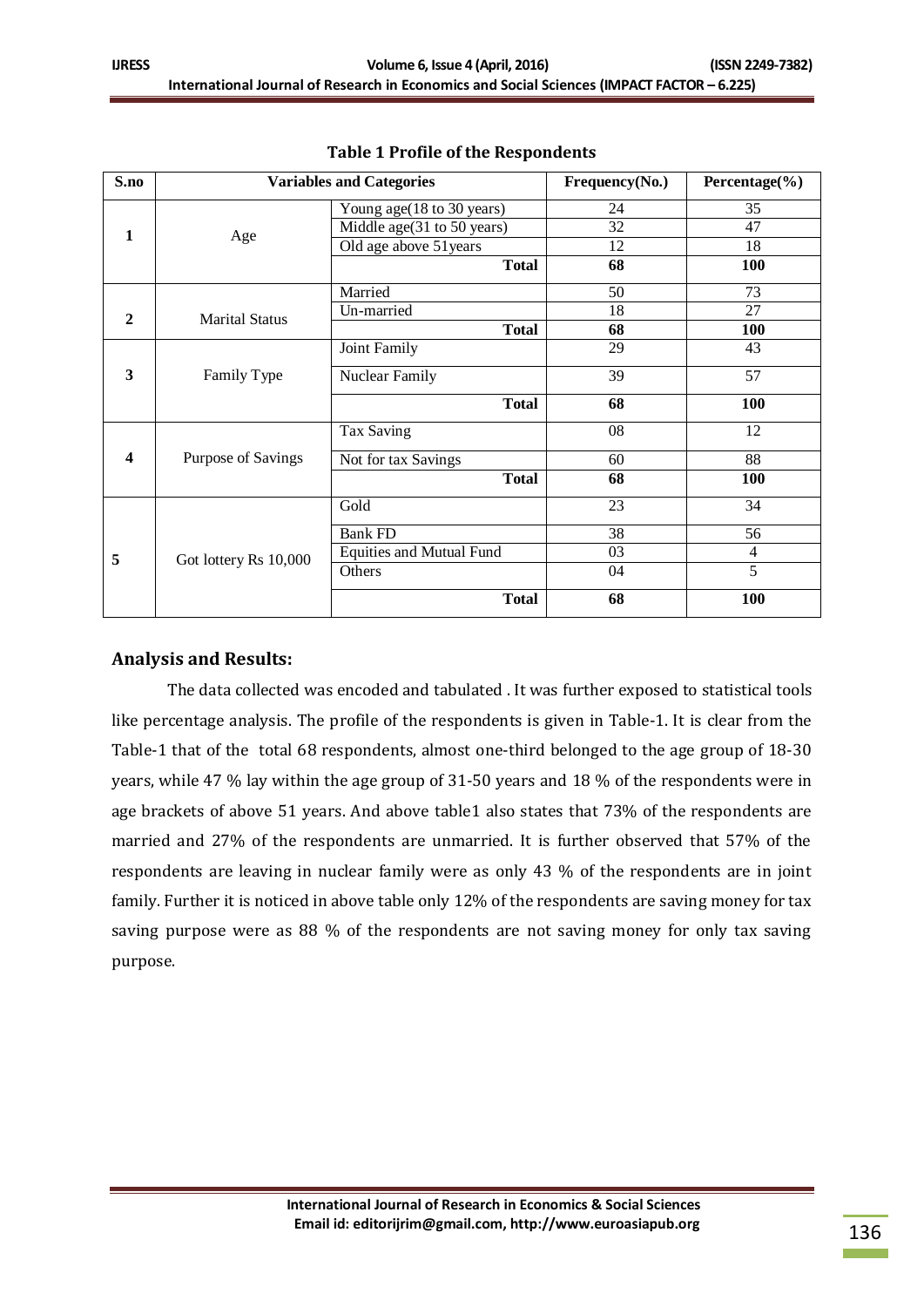| S.no         |                       |                                                                                                                                                               | Frequency(No.) | Percentage $(\% )$ |
|--------------|-----------------------|---------------------------------------------------------------------------------------------------------------------------------------------------------------|----------------|--------------------|
| 1            | Age                   | Young age (18 to 30 years)                                                                                                                                    | 24             | 35                 |
|              |                       | Middle age(31 to 50 years)                                                                                                                                    | 32             | 47                 |
|              |                       | Old age above 51 years                                                                                                                                        | 12             | 18                 |
|              |                       | <b>Total</b>                                                                                                                                                  | 68             | 100                |
| $\mathbf{2}$ | <b>Marital Status</b> | Married                                                                                                                                                       | 50             | 73                 |
|              |                       | Un-married                                                                                                                                                    | 18             | 27                 |
|              |                       | <b>Total</b>                                                                                                                                                  | 68             | 100                |
|              | Family Type           | Joint Family                                                                                                                                                  | 29             | 43                 |
| 3            |                       | Nuclear Family                                                                                                                                                | 39             | 57                 |
|              |                       | <b>Total</b>                                                                                                                                                  | 68             | 100                |
|              |                       | Tax Saving                                                                                                                                                    | 08             | 12                 |
| 4            | Purpose of Savings    | <b>Variables and Categories</b><br>Not for tax Savings<br><b>Total</b><br>Gold<br><b>Bank FD</b><br><b>Equities and Mutual Fund</b><br>Others<br><b>Total</b> | 60             | 88                 |
|              |                       |                                                                                                                                                               | 68             | 100                |
| 5            | Got lottery Rs 10,000 |                                                                                                                                                               | 23             | 34                 |
|              |                       |                                                                                                                                                               | 38             | 56                 |
|              |                       |                                                                                                                                                               | 03             | $\overline{4}$     |
|              |                       |                                                                                                                                                               | 04             | 5                  |
|              |                       |                                                                                                                                                               | 68             | 100                |

#### **Table 1 Profile of the Respondents**

### **Analysis and Results:**

The data collected was encoded and tabulated . It was further exposed to statistical tools like percentage analysis. The profile of the respondents is given in Table-1. It is clear from the Table-1 that of the total 68 respondents, almost one-third belonged to the age group of 18-30 years, while 47 % lay within the age group of 31-50 years and 18 % of the respondents were in age brackets of above 51 years. And above table1 also states that 73% of the respondents are married and 27% of the respondents are unmarried. It is further observed that 57% of the respondents are leaving in nuclear family were as only 43 % of the respondents are in joint family. Further it is noticed in above table only 12% of the respondents are saving money for tax saving purpose were as 88 % of the respondents are not saving money for only tax saving purpose.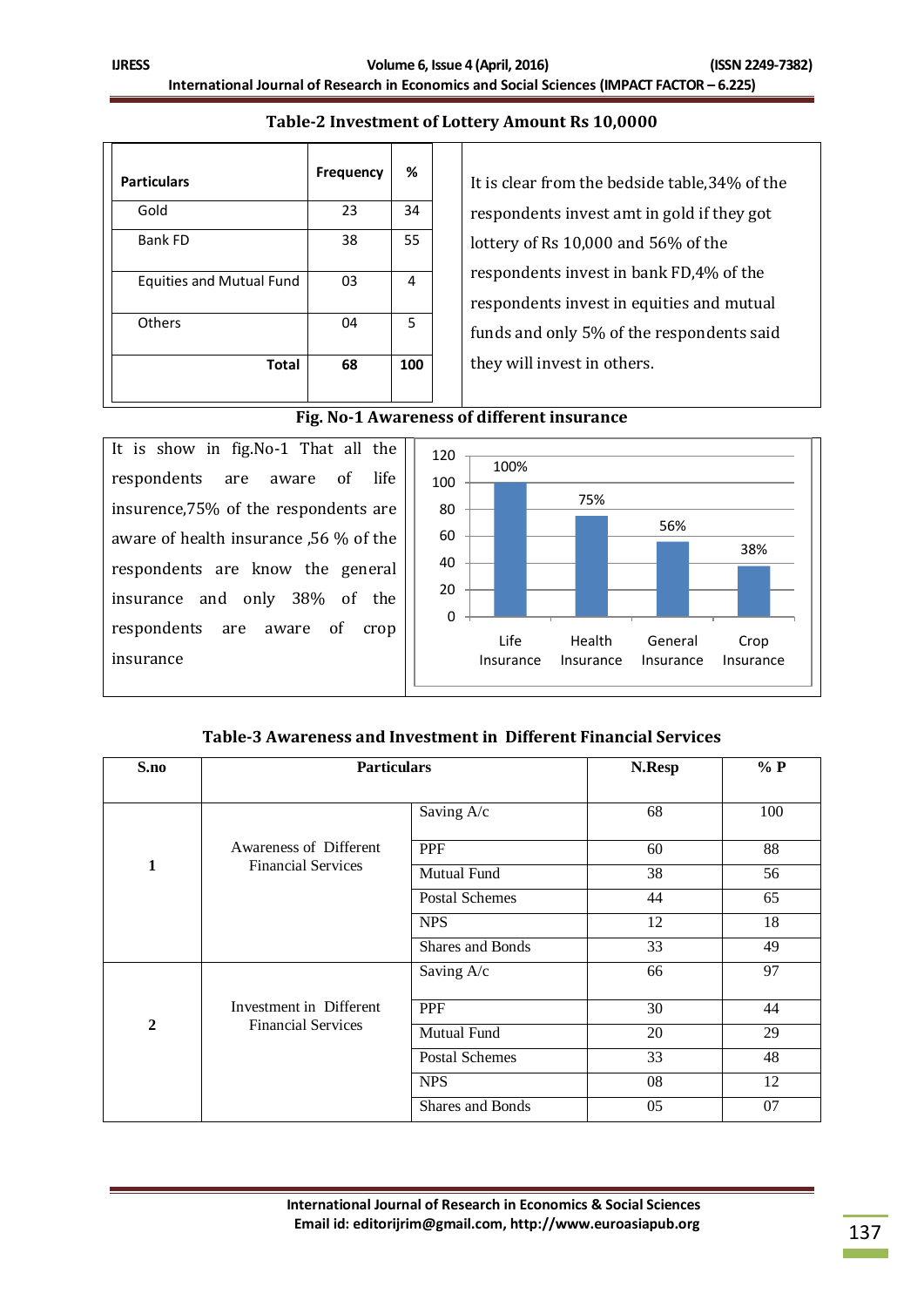#### **Table-2 Investment of Lottery Amount Rs 10,0000**

| <b>Particulars</b>              | <b>Frequency</b> | %   |
|---------------------------------|------------------|-----|
| Gold                            | 23               | 34  |
| <b>Bank FD</b>                  | 38               | 55  |
| <b>Equities and Mutual Fund</b> | 03               | 4   |
| Others                          | 04               | 5   |
| <b>Total</b>                    | 68               | 100 |

It is clear from the bedside table,34% of the respondents invest amt in gold if they got lottery of Rs 10,000 and 56% of the respondents invest in bank FD,4% of the respondents invest in equities and mutual funds and only 5% of the respondents said they will invest in others.

#### **Fig. No-1 Awareness of different insurance**

It is show in fig.No-1 That all the respondents are aware of life insurence,75% of the respondents are aware of health insurance ,56 % of the respondents are know the general insurance and only 38% of the respondents are aware of crop insurance



#### **Table-3 Awareness and Investment in Different Financial Services**

| S.no           |                                                     | <b>Particulars</b>    |    | % P |  |
|----------------|-----------------------------------------------------|-----------------------|----|-----|--|
|                |                                                     | Saving A/c            | 68 | 100 |  |
|                | Awareness of Different<br><b>Financial Services</b> | PPF                   | 60 | 88  |  |
| 1              |                                                     | Mutual Fund           | 38 | 56  |  |
|                |                                                     | <b>Postal Schemes</b> | 44 | 65  |  |
|                |                                                     | <b>NPS</b>            | 12 | 18  |  |
|                |                                                     | Shares and Bonds      | 33 | 49  |  |
|                |                                                     | Saving A/c            | 66 | 97  |  |
|                | Investment in Different                             | <b>PPF</b>            | 30 | 44  |  |
| $\overline{2}$ | <b>Financial Services</b>                           | Mutual Fund           | 20 | 29  |  |
|                |                                                     | <b>Postal Schemes</b> | 33 | 48  |  |
|                |                                                     | <b>NPS</b>            | 08 | 12  |  |
|                |                                                     | Shares and Bonds      | 05 | 07  |  |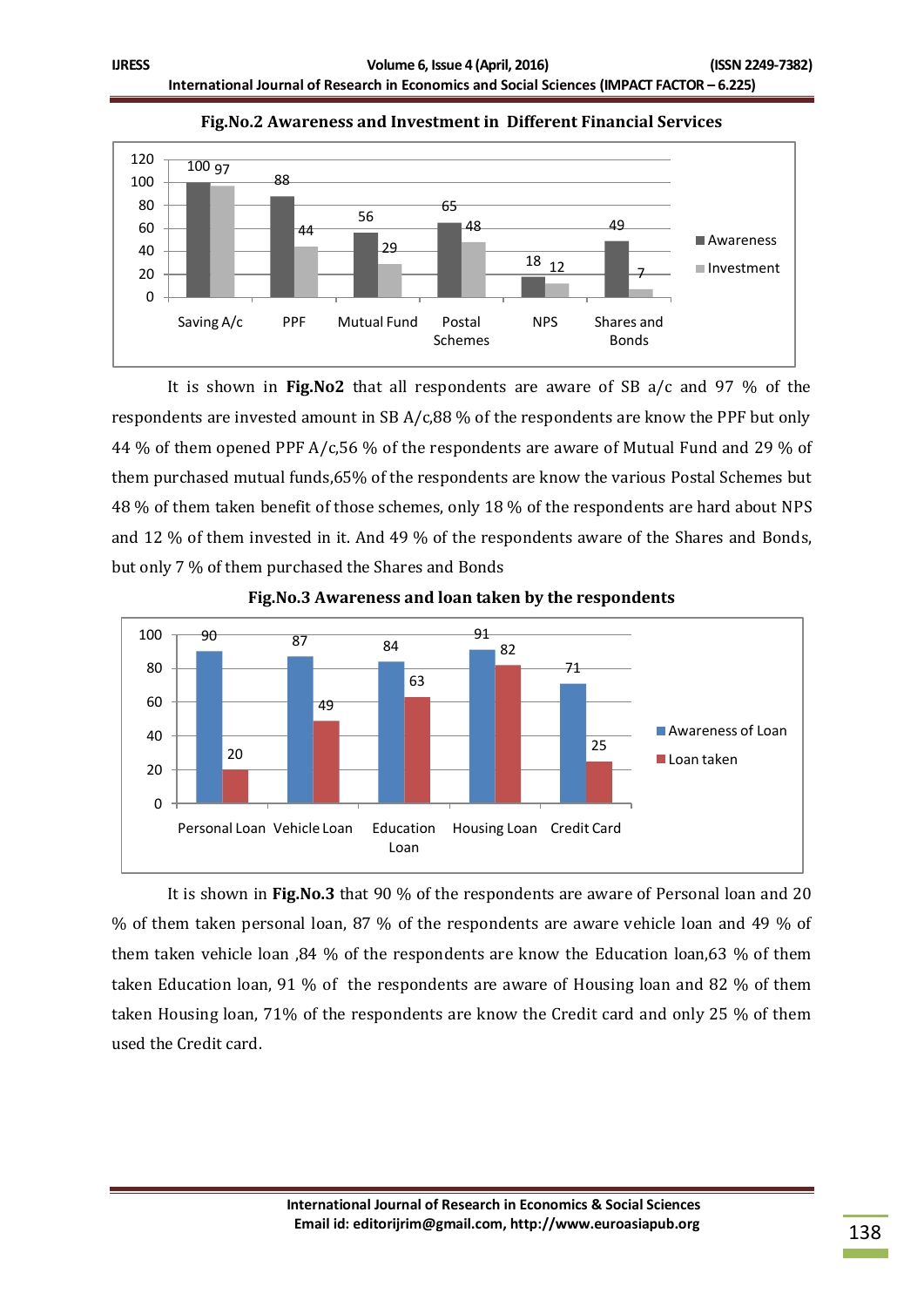

**Fig.No.2 Awareness and Investment in Different Financial Services**

It is shown in **Fig.No2** that all respondents are aware of SB a/c and 97 % of the respondents are invested amount in SB A/c,88 % of the respondents are know the PPF but only 44 % of them opened PPF A/c,56 % of the respondents are aware of Mutual Fund and 29 % of them purchased mutual funds,65% of the respondents are know the various Postal Schemes but 48 % of them taken benefit of those schemes, only 18 % of the respondents are hard about NPS and 12 % of them invested in it. And 49 % of the respondents aware of the Shares and Bonds, but only 7 % of them purchased the Shares and Bonds



**Fig.No.3 Awareness and loan taken by the respondents**

It is shown in **Fig.No.3** that 90 % of the respondents are aware of Personal loan and 20 % of them taken personal loan, 87 % of the respondents are aware vehicle loan and 49 % of them taken vehicle loan ,84 % of the respondents are know the Education loan,63 % of them taken Education loan, 91 % of the respondents are aware of Housing loan and 82 % of them taken Housing loan, 71% of the respondents are know the Credit card and only 25 % of them used the Credit card.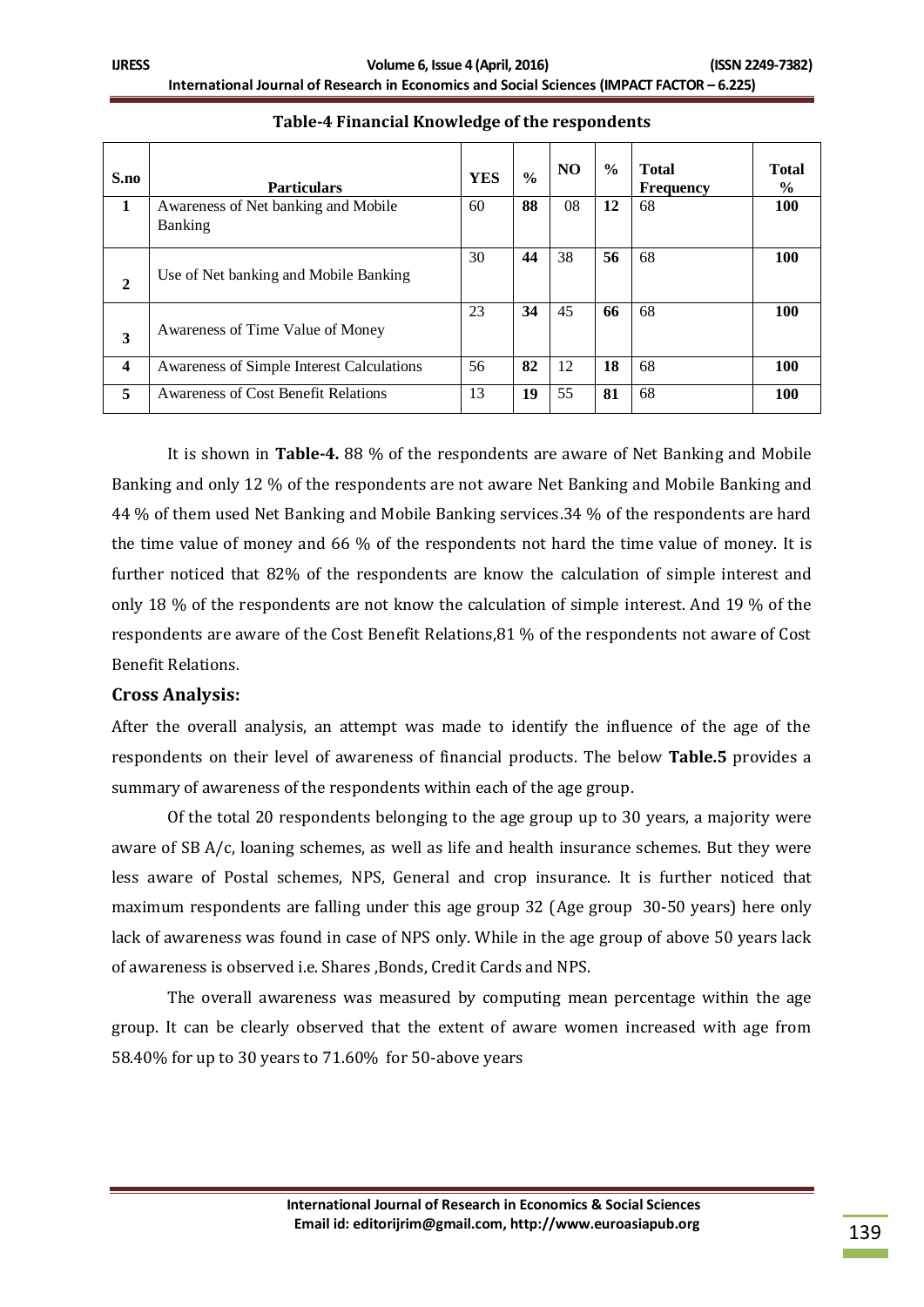| S.no        | <b>Particulars</b>                         | <b>YES</b> | $\frac{0}{0}$ | N <sub>O</sub> | $\frac{6}{6}$ | <b>Total</b><br><b>Frequency</b> | <b>Total</b><br>$\frac{6}{9}$ |
|-------------|--------------------------------------------|------------|---------------|----------------|---------------|----------------------------------|-------------------------------|
| 1           | Awareness of Net banking and Mobile        | 60         | 88            | 08             | 12            | 68                               | 100                           |
|             | <b>Banking</b>                             |            |               |                |               |                                  |                               |
| $\mathbf 2$ | Use of Net banking and Mobile Banking      | 30         | 44            | 38             | 56            | 68                               | 100                           |
| 3           | Awareness of Time Value of Money           | 23         | 34            | 45             | 66            | 68                               | 100                           |
| 4           | Awareness of Simple Interest Calculations  | 56         | 82            | 12             | 18            | 68                               | 100                           |
| 5           | <b>Awareness of Cost Benefit Relations</b> | 13         | 19            | 55             | 81            | 68                               | <b>100</b>                    |

### **Table-4 Financial Knowledge of the respondents**

It is shown in **Table-4.** 88 % of the respondents are aware of Net Banking and Mobile Banking and only 12 % of the respondents are not aware Net Banking and Mobile Banking and 44 % of them used Net Banking and Mobile Banking services.34 % of the respondents are hard the time value of money and 66 % of the respondents not hard the time value of money. It is further noticed that 82% of the respondents are know the calculation of simple interest and only 18 % of the respondents are not know the calculation of simple interest. And 19 % of the respondents are aware of the Cost Benefit Relations,81 % of the respondents not aware of Cost Benefit Relations.

#### **Cross Analysis:**

After the overall analysis, an attempt was made to identify the influence of the age of the respondents on their level of awareness of financial products. The below **Table.5** provides a summary of awareness of the respondents within each of the age group.

Of the total 20 respondents belonging to the age group up to 30 years, a majority were aware of SB A/c, loaning schemes, as well as life and health insurance schemes. But they were less aware of Postal schemes, NPS, General and crop insurance. It is further noticed that maximum respondents are falling under this age group 32 (Age group 30-50 years) here only lack of awareness was found in case of NPS only. While in the age group of above 50 years lack of awareness is observed i.e. Shares ,Bonds, Credit Cards and NPS.

The overall awareness was measured by computing mean percentage within the age group. It can be clearly observed that the extent of aware women increased with age from 58.40% for up to 30 years to 71.60% for 50-above years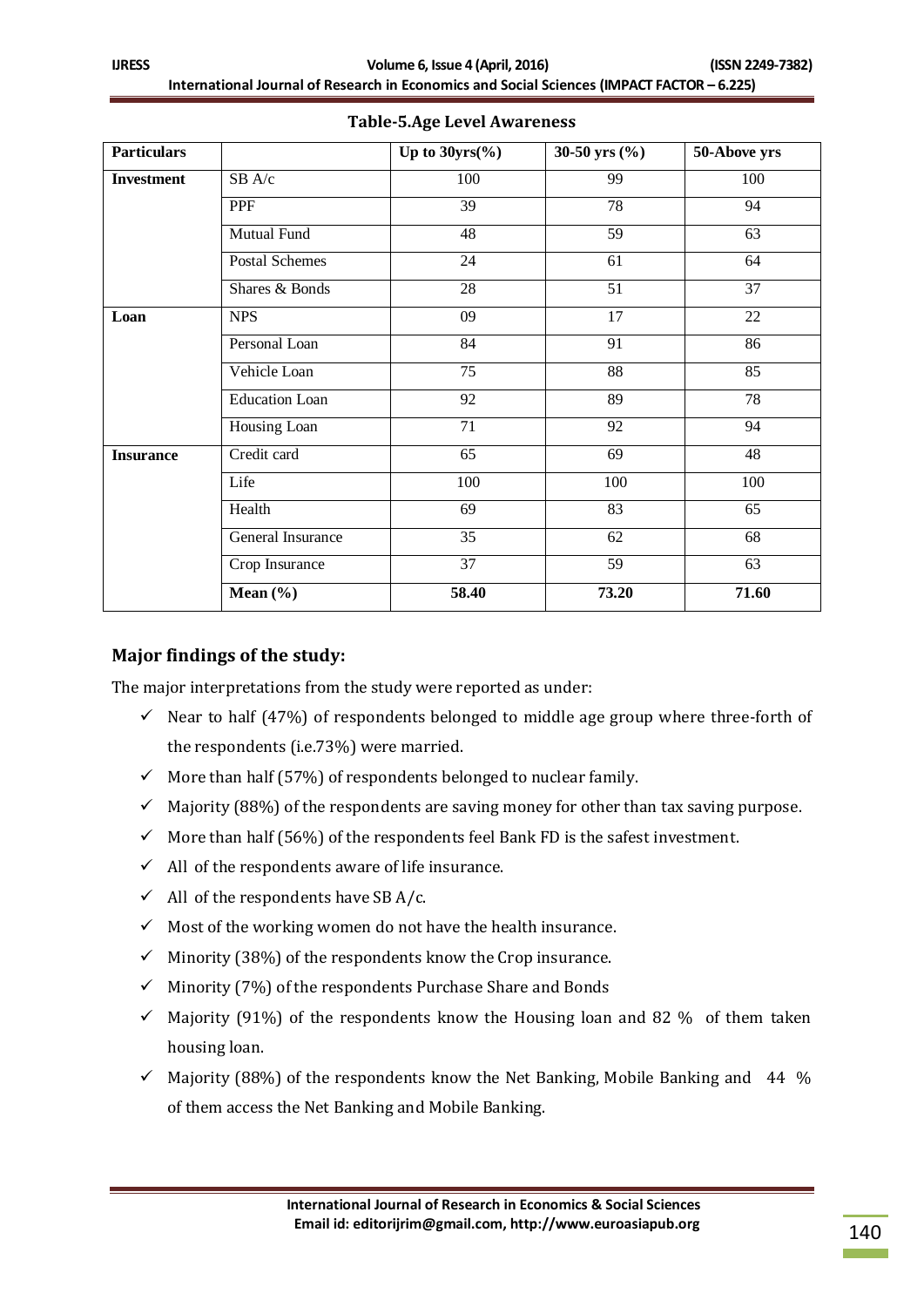| <b>Particulars</b> |                       | Up to $30yrs(\%)$ | 30-50 yrs $(\% )$ | 50-Above yrs    |
|--------------------|-----------------------|-------------------|-------------------|-----------------|
| <b>Investment</b>  | SB A/c                | 100               | 99                | 100             |
|                    | PPF                   | 39                | 78                | 94              |
|                    | Mutual Fund           | 48                | 59                | 63              |
|                    | Postal Schemes        | 24                | 61                | 64              |
|                    | Shares & Bonds        | 28                | 51                | $\overline{37}$ |
| Loan               | <b>NPS</b>            | 09                | 17                | $22\,$          |
|                    | Personal Loan         | 84                | $\overline{91}$   | 86              |
|                    | Vehicle Loan          | 75                | 88                | 85              |
|                    | <b>Education Loan</b> | 92                | $\overline{89}$   | 78              |
|                    | Housing Loan          | 71                | 92                | 94              |
| <b>Insurance</b>   | Credit card           | 65                | 69                | 48              |
|                    | Life                  | 100               | 100               | 100             |
|                    | Health                | 69                | 83                | 65              |
|                    | General Insurance     | 35                | 62                | 68              |
|                    | Crop Insurance        | 37                | 59                | 63              |
|                    | Mean $(\% )$          | 58.40             | 73.20             | 71.60           |

## **Table-5.Age Level Awareness**

## **Major findings of the study:**

The major interpretations from the study were reported as under:

- $\checkmark$  Near to half (47%) of respondents belonged to middle age group where three-forth of the respondents (i.e.73%) were married.
- $\checkmark$  More than half (57%) of respondents belonged to nuclear family.
- $\checkmark$  Majority (88%) of the respondents are saving money for other than tax saving purpose.
- $\checkmark$  More than half (56%) of the respondents feel Bank FD is the safest investment.
- $\checkmark$  All of the respondents aware of life insurance.
- $\checkmark$  All of the respondents have SB A/c.
- $\checkmark$  Most of the working women do not have the health insurance.
- $\checkmark$  Minority (38%) of the respondents know the Crop insurance.
- $\checkmark$  Minority (7%) of the respondents Purchase Share and Bonds
- $\checkmark$  Majority (91%) of the respondents know the Housing loan and 82 % of them taken housing loan.
- $\checkmark$  Majority (88%) of the respondents know the Net Banking, Mobile Banking and 44 % of them access the Net Banking and Mobile Banking.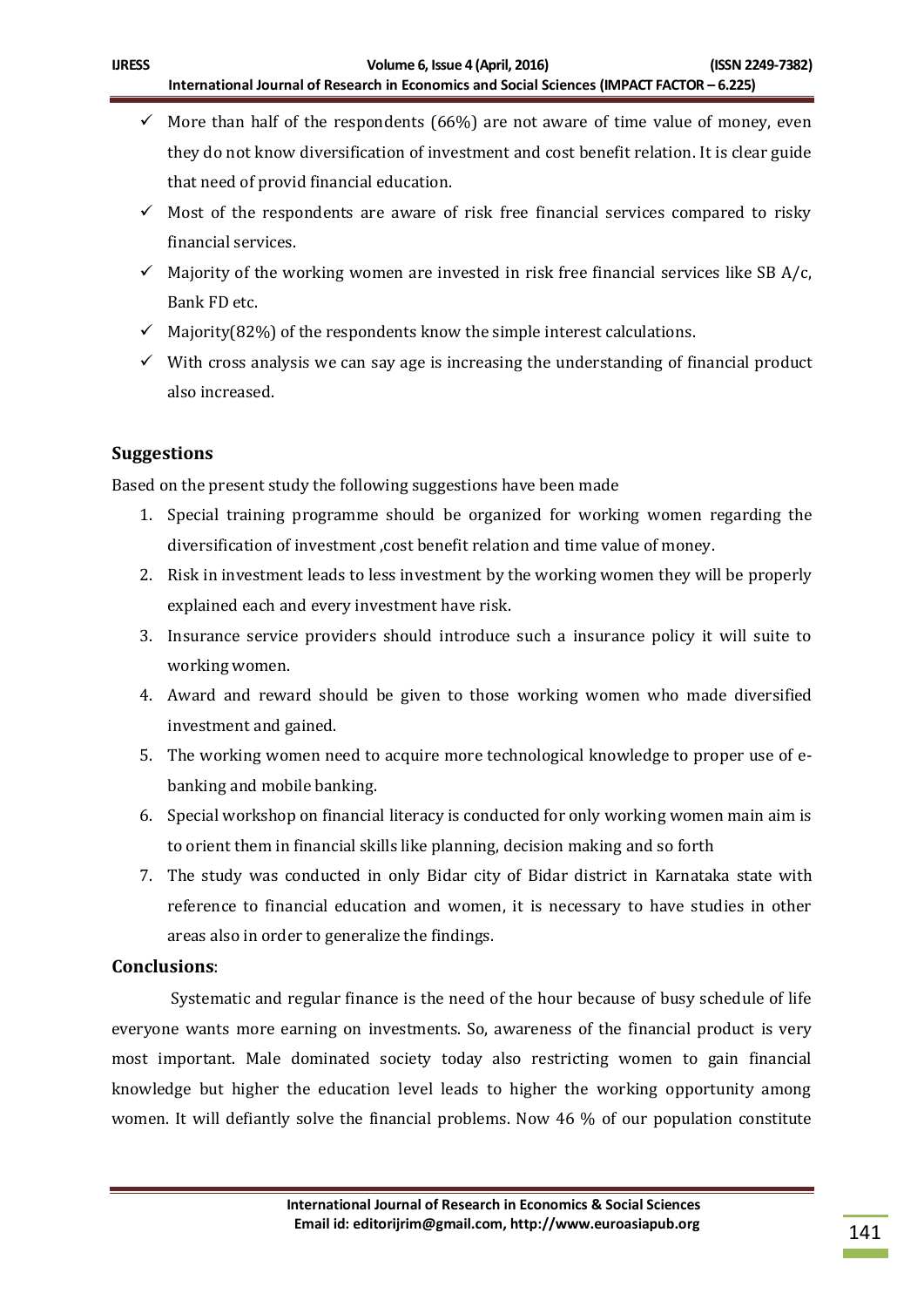- $\checkmark$  More than half of the respondents (66%) are not aware of time value of money, even they do not know diversification of investment and cost benefit relation. It is clear guide that need of provid financial education.
- $\checkmark$  Most of the respondents are aware of risk free financial services compared to risky financial services.
- $\checkmark$  Majority of the working women are invested in risk free financial services like SB A/c, Bank FD etc.
- $\checkmark$  Majority(82%) of the respondents know the simple interest calculations.
- $\checkmark$  With cross analysis we can say age is increasing the understanding of financial product also increased.

# **Suggestions**

Based on the present study the following suggestions have been made

- 1. Special training programme should be organized for working women regarding the diversification of investment ,cost benefit relation and time value of money.
- 2. Risk in investment leads to less investment by the working women they will be properly explained each and every investment have risk.
- 3. Insurance service providers should introduce such a insurance policy it will suite to working women.
- 4. Award and reward should be given to those working women who made diversified investment and gained.
- 5. The working women need to acquire more technological knowledge to proper use of ebanking and mobile banking.
- 6. Special workshop on financial literacy is conducted for only working women main aim is to orient them in financial skills like planning, decision making and so forth
- 7. The study was conducted in only Bidar city of Bidar district in Karnataka state with reference to financial education and women, it is necessary to have studies in other areas also in order to generalize the findings.

# **Conclusions**:

Systematic and regular finance is the need of the hour because of busy schedule of life everyone wants more earning on investments. So, awareness of the financial product is very most important. Male dominated society today also restricting women to gain financial knowledge but higher the education level leads to higher the working opportunity among women. It will defiantly solve the financial problems. Now 46 % of our population constitute